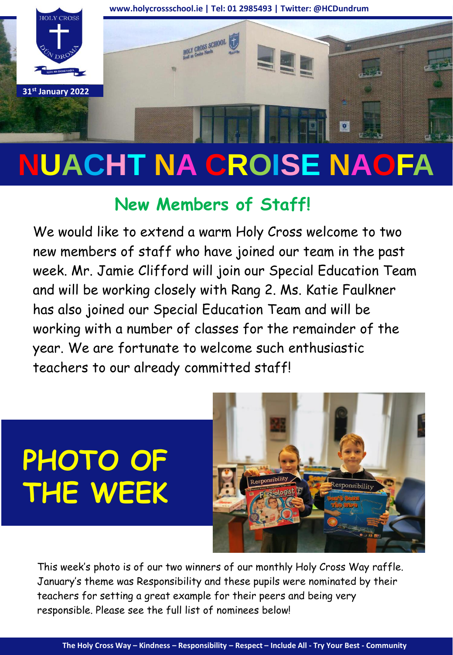

# **NUACHT NA CROISE NAOFA**

## **New Members of Staff!**

We would like to extend a warm Holy Cross welcome to two new members of staff who have joined our team in the past week. Mr. Jamie Clifford will join our Special Education Team and will be working closely with Rang 2. Ms. Katie Faulkner has also joined our Special Education Team and will be working with a number of classes for the remainder of the year. We are fortunate to welcome such enthusiastic teachers to our already committed staff!

## **PHOTO OF THE WEEK**



This week's photo is of our two winners of our monthly Holy Cross Way raffle. January's theme was Responsibility and these pupils were nominated by their teachers for setting a great example for their peers and being very responsible. Please see the full list of nominees below!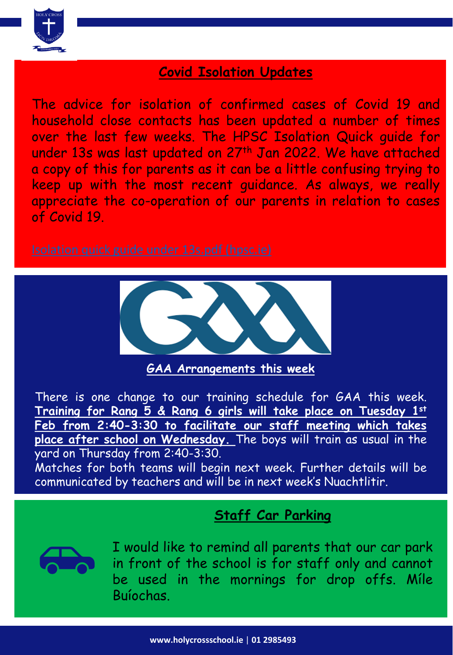

#### **Covid Isolation Updates**

The advice for isolation of confirmed cases of Covid 19 and household close contacts has been updated a number of times over the last few weeks. The HPSC Isolation Quick guide for under 13s was last updated on 27th Jan 2022. We have attached a copy of this for parents as it can be a little confusing trying to keep up with the most recent guidance. As always, we really appreciate the co-operation of our parents in relation to cases of Covid 19.



**GAA Arrangements this week**

There is one change to our training schedule for GAA this week. **Training for Rang 5 & Rang 6 girls will take place on Tuesday 1st Feb from 2:40-3:30 to facilitate our staff meeting which takes place after school on Wednesday.** The boys will train as usual in the yard on Thursday from 2:40-3:30.

Matches for both teams will begin next week. Further details will be communicated by teachers and will be in next week's Nuachtlitir.

### **Staff Car Parking**



I would like to remind all parents that our car park in front of the school is for staff only and cannot be used in the mornings for drop offs. Míle Buíochas.